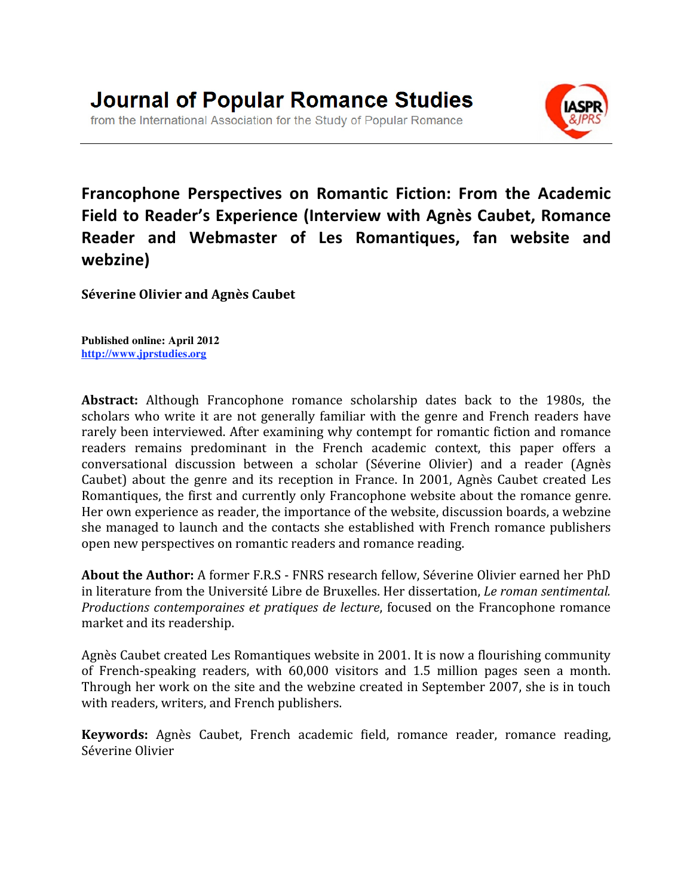

**Francophone
 Perspectives
 on
 Romantic
 Fiction:
 From
 the
 Academic Field
to
Reader's
Experience
 (Interview
with
Agnès
Caubet,
Romance**  Reader and Webmaster of Les Romantiques, fan website and **webzine)**

**Séverine
Olivier
and
Agnès
Caubet**

**Published online: April 2012 http://www.jprstudies.org**

**Abstract:** Although Francophone romance scholarship dates back to the 1980s, the scholars who write it are not generally familiar with the genre and French readers have rarely
been
interviewed.
After
examining
why
contempt
for
romantic
fiction
and
romance readers remains predominant in the French academic context, this paper offers a conversational
 discussion
 between
 a
 scholar
 (Séverine
 Olivier)
 and
 a
 reader
 (Agnès Caubet) about the genre and its reception in France. In 2001, Agnès Caubet created Les Romantiques, the first and currently only Francophone website about the romance genre. Her
own
experience
as
reader,
the
importance
of
the
website,
discussion
boards,
a
webzine she
managed
 to
launch
and
 the
contacts
she
established
with
French
romance
publishers open
new
perspectives
on
romantic
readers
and
romance
reading.

About the Author: A former F.R.S - FNRS research fellow, Séverine Olivier earned her PhD in
literature
from
the
Université
Libre
de
Bruxelles.
Her
dissertation, *Le
roman
sentimental. Productions contemporaines et pratiques de lecture*, focused on the Francophone romance market
and
its
readership.

Agnès
Caubet
created
Les
Romantiques
website
in
2001.
It
is
now
a
flourishing
community of French-speaking readers, with 60,000 visitors and 1.5 million pages seen a month. Through her work on the site and the webzine created in September 2007, she is in touch with
readers,
writers,
and
French
publishers.

Keywords: Agnès Caubet, French academic field, romance reader, romance reading, Séverine
Olivier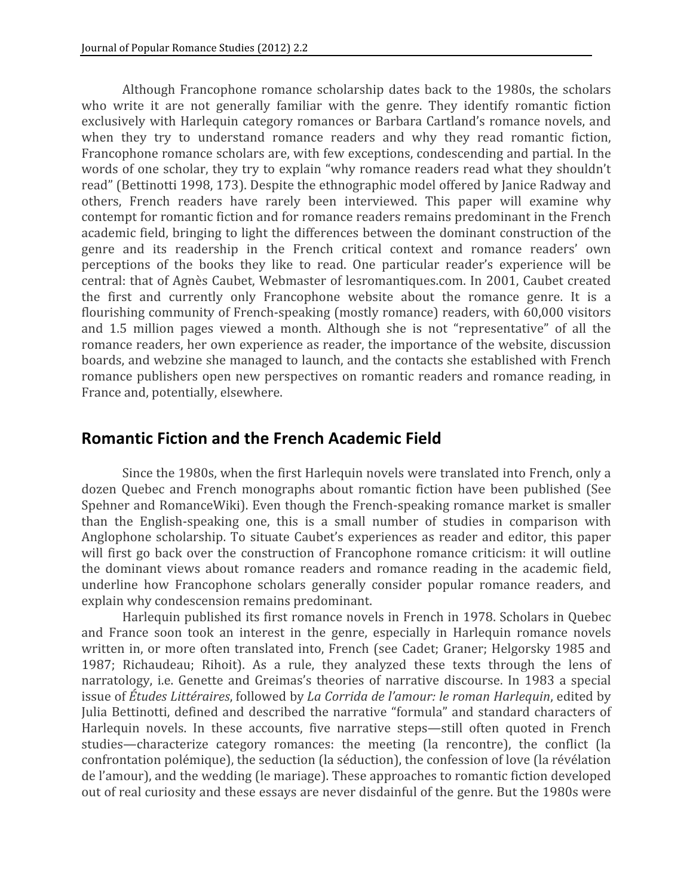Although Francophone romance scholarship dates back to the 1980s, the scholars who write it are not generally familiar with the genre. They identify romantic fiction exclusively with Harlequin category romances or Barbara Cartland's romance novels, and when they try to understand romance readers and why they read romantic fiction, Francophone romance scholars are, with few exceptions, condescending and partial. In the words of one scholar, they try to explain "why romance readers read what they shouldn't read"
(Bettinotti
1998,
173).
Despite
the
ethnographic
model
offered
by
Janice
Radway
and others, French readers have rarely been interviewed. This paper will examine why contempt
for
romantic
fiction
and
for
romance
readers
remains
predominant
in
the
French academic
field,
bringing
to
light
the
differences
between
the
dominant
construction
of
the genre
 and
 its
 readership
 in
 the
 French
 critical
 context
 and
 romance
 readers'
 own perceptions of the books they like to read. One particular reader's experience will be central:
that
of
Agnès
Caubet,
Webmaster
of
lesromantiques.com.
In
2001,
Caubet
created the first and currently only Francophone website about the romance genre. It is a flourishing community of French-speaking (mostly romance) readers, with 60,000 visitors and
 1.5
 million
 pages
 viewed
 a
 month.
 Although
 she
 is
 not
 "representative"
 of
 all
 the romance readers, her own experience as reader, the importance of the website, discussion boards, and webzine she managed to launch, and the contacts she established with French romance publishers open new perspectives on romantic readers and romance reading, in France
and,
potentially,
elsewhere.

## **Romantic
Fiction
and
the
French
Academic
Field**

Since
the
1980s,
when
the
first
Harlequin
novels
were
translated
into
French,
only
a dozen
 Quebec
 and
 French
 monographs
 about
 romantic
 fiction
 have
 been
 published
 (See Spehner and RomanceWiki). Even though the French-speaking romance market is smaller than the English-speaking one, this is a small number of studies in comparison with Anglophone scholarship. To situate Caubet's experiences as reader and editor, this paper will first go back over the construction of Francophone romance criticism: it will outline the dominant views about romance readers and romance reading in the academic field, underline
 how
 Francophone
 scholars
 generally
 consider
 popular
 romance
 readers,
 and explain
why
condescension
remains
predominant.

Harlequin published its first romance novels in French in 1978. Scholars in Quebec and
 France
 soon
 took
 an
 interest
 in
 the
 genre,
 especially
 in
 Harlequin
 romance
 novels written in, or more often translated into, French (see Cadet; Graner; Helgorsky 1985 and 1987; Richaudeau; Rihoit). As a rule, they analyzed these texts through the lens of narratology, *i.e.* Genette and Greimas's theories of narrative discourse. In 1983 a special issue of Études Littéraires, followed by La Corrida de l'amour: le roman Harlequin, edited by Julia Bettinotti, defined and described the narrative "formula" and standard characters of Harlequin novels. In these accounts, five narrative steps—still often quoted in French studies—characterize category romances: the meeting (la rencontre), the conflict (la confrontation
polémique),
the
seduction
(la
séduction),
the
confession
of
love
(la
révélation de
l'amour),
and
the
wedding
(le
mariage).
These
approaches
to
romantic
fiction
developed out of real curiosity and these essays are never disdainful of the genre. But the 1980s were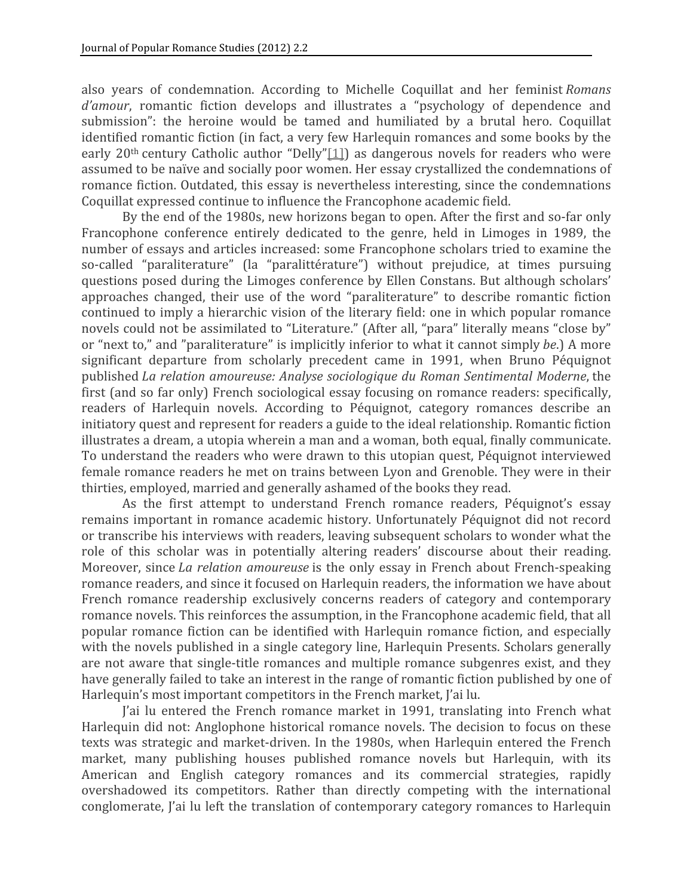also
 years
 of
 condemnation.
 According
 to
 Michelle
 Coquillat
 and
 her
 feminist *Romans*  d'amour, romantic fiction develops and illustrates a "psychology of dependence and submission": the heroine would be tamed and humiliated by a brutal hero. Coquillat identified romantic fiction (in fact, a very few Harlequin romances and some books by the early  $20<sup>th</sup>$  century Catholic author "Delly"[1]) as dangerous novels for readers who were assumed
to
be
naïve
and
socially
poor
women.
Her
essay
crystallized
the
condemnations
of romance fiction. Outdated, this essay is nevertheless interesting, since the condemnations Coquillat
expressed
continue
to
influence
the
Francophone
academic
field.

By the end of the 1980s, new horizons began to open. After the first and so-far only Francophone conference entirely dedicated to the genre, held in Limoges in 1989, the number
of
essays
and
articles
increased:
some
Francophone
scholars
tried
to
examine
the so-called "paraliterature" (la "paralittérature") without prejudice, at times pursuing questions
posed
during
 the
Limoges
conference
by
Ellen
Constans.
But
although
scholars' approaches changed, their use of the word "paraliterature" to describe romantic fiction continued
 to
imply
a
hierarchic
vision
of
 the
literary
 field:
one
in
which
popular
romance novels could not be assimilated to "Literature." (After all, "para" literally means "close by" or
"next
to,"
and
"paraliterature"
is
implicitly
inferior
to
what
it
cannot
simply *be*.)
A
more significant departure from scholarly precedent came in 1991, when Bruno Péquignot published *La
relation
amoureuse:
Analyse
sociologique
du
Roman
Sentimental
Moderne*, the first (and so far only) French sociological essay focusing on romance readers: specifically, readers
 of
 Harlequin
 novels.
 According
 to
 Péquignot,
 category
 romances
 describe
 an initiatory
quest
and
represent
for
readers
a
guide
to
the
ideal
relationship.
Romantic
fiction illustrates a dream, a utopia wherein a man and a woman, both equal, finally communicate. To
understand
the
readers
who
were
drawn
to
this
utopian
quest,
Péquignot
interviewed female romance readers he met on trains between Lyon and Grenoble. They were in their thirties,
employed,
married
and
generally
ashamed
of
the
books
they
read.

As the first attempt to understand French romance readers, Péquignot's essay remains
important
in
 romance
academic
 history.
Unfortunately
Péquignot
 did
 not
 record or
transcribe
his
interviews
with
readers,
leaving
subsequent
scholars
to
wonder
what
the role of this scholar was in potentially altering readers' discourse about their reading. Moreover, since *La relation amoureuse* is the only essay in French about French-speaking romance
readers,
and
since
it
focused
on
Harlequin
readers,
the
information
we
have
about French romance readership exclusively concerns readers of category and contemporary romance novels. This reinforces the assumption, in the Francophone academic field, that all popular
 romance
 fiction
 can
 be
identified
with
Harlequin
 romance
 fiction,
 and
 especially with the novels published in a single category line, Harlequin Presents. Scholars generally are not aware that single-title romances and multiple romance subgenres exist, and they have generally failed to take an interest in the range of romantic fiction published by one of Harlequin's
most
important
competitors
in
the
French
market,
J'ai
lu.

I'ai lu entered the French romance market in 1991, translating into French what Harlequin did not: Anglophone historical romance novels. The decision to focus on these texts was strategic and market-driven. In the 1980s, when Harlequin entered the French market, many publishing houses published romance novels but Harlequin, with its American and English category romances and its commercial strategies, rapidly overshadowed
 its
 competitors.
 Rather
 than
 directly
 competing
 with
 the
 international conglomerate, I'ai lu left the translation of contemporary category romances to Harlequin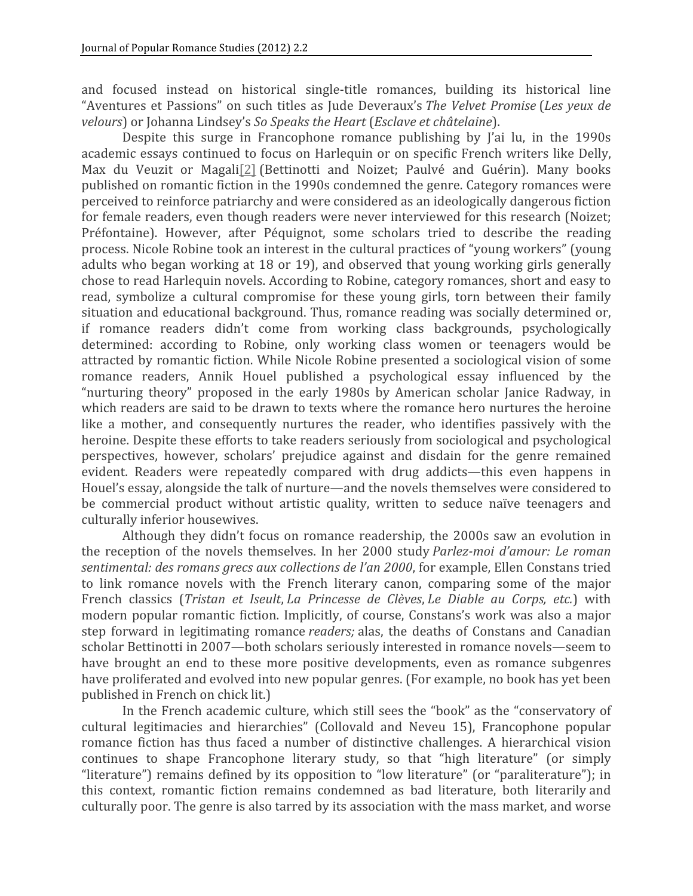and focused instead on historical single-title romances, building its historical line "Aventures et Passions" on such titles as Jude Deveraux's The Velvet Promise (Les yeux de *velours*) or
Johanna
Lindsey's *So
Speaks
the
Heart* (*Esclave
et
châtelaine*).

Despite this surge in Francophone romance publishing by l'ai lu, in the 1990s academic essays continued to focus on Harlequin or on specific French writers like Delly, Max du Veuzit or Magali<sup>[2]</sup> (Bettinotti and Noizet; Paulvé and Guérin). Many books published
on
romantic
fiction
in
the
1990s
condemned
the
genre.
Category
romances
were perceived
to
reinforce
patriarchy
and
were
considered
as
an
ideologically
dangerous
fiction for female readers, even though readers were never interviewed for this research (Noizet; Préfontaine). However, after Péquignot, some scholars tried to describe the reading process.
Nicole
Robine
took
an
interest
in
the
cultural
practices
of
"young
workers"
(young adults who began working at 18 or 19), and observed that young working girls generally chose
to
read
Harlequin
novels.
According
to
Robine,
category
romances,
short
and
easy
to read, symbolize a cultural compromise for these young girls, torn between their family situation and educational background. Thus, romance reading was socially determined or, if
 romance
 readers
 didn't
 come
 from
 working
 class
 backgrounds,
 psychologically determined: according to Robine, only working class women or teenagers would be attracted
by
romantic
 fiction.
While
Nicole
Robine
presented
a
sociological
vision
of
some romance readers, Annik Houel published a psychological essay influenced by the "nurturing theory" proposed in the early 1980s by American scholar Janice Radway, in which readers are said to be drawn to texts where the romance hero nurtures the heroine like a mother, and consequently nurtures the reader, who identifies passively with the heroine. Despite these efforts to take readers seriously from sociological and psychological perspectives,
 however,
 scholars'
 prejudice
 against
 and
 disdain
 for
 the
 genre
 remained evident. Readers were repeatedly compared with drug addicts—this even happens in Houel's
essay,
alongside
the
talk
of
nurture—and
the
novels
themselves
were
considered
to be commercial product without artistic quality, written to seduce naïve teenagers and culturally
inferior
housewives.

Although
 they
 didn't
 focus
 on
 romance
 readership,
 the
 2000s
 saw
an
evolution
in the reception of the novels themselves. In her 2000 study *Parlez-moi d'amour: Le roman* sentimental: des romans grecs aux collections de l'an 2000, for example, Ellen Constans tried to link romance novels with the French literary canon, comparing some of the major French
 classics
 (*Tristan
 et
 Iseult*, *La
 Princesse
 de
 Clèves*, *Le
 Diable
 au
 Corps,
 etc.*)
 with modern
 popular
 romantic
 fiction.
 Implicitly,
 of
 course,
 Constans's
work
was
also
a
major step forward in legitimating romance *readers;* alas, the deaths of Constans and Canadian scholar
Bettinotti
in
2007—both
scholars
seriously
interested
in
romance
novels—seem
to have brought an end to these more positive developments, even as romance subgenres have proliferated and evolved into new popular genres. (For example, no book has yet been published
in
French
on
chick
lit.)

In the French academic culture, which still sees the "book" as the "conservatory of cultural
 legitimacies
 and
 hierarchies"
 (Collovald
 and
 Neveu
 15),
 Francophone
 popular romance fiction has thus faced a number of distinctive challenges. A hierarchical vision continues to shape Francophone literary study, so that "high literature" (or simply "literature") remains defined by its opposition to "low literature" (or "paraliterature"); in this
 context,
 romantic
 fiction
 remains
 condemned
 as
 bad
 literature,
 both
 literarily and culturally poor. The genre is also tarred by its association with the mass market, and worse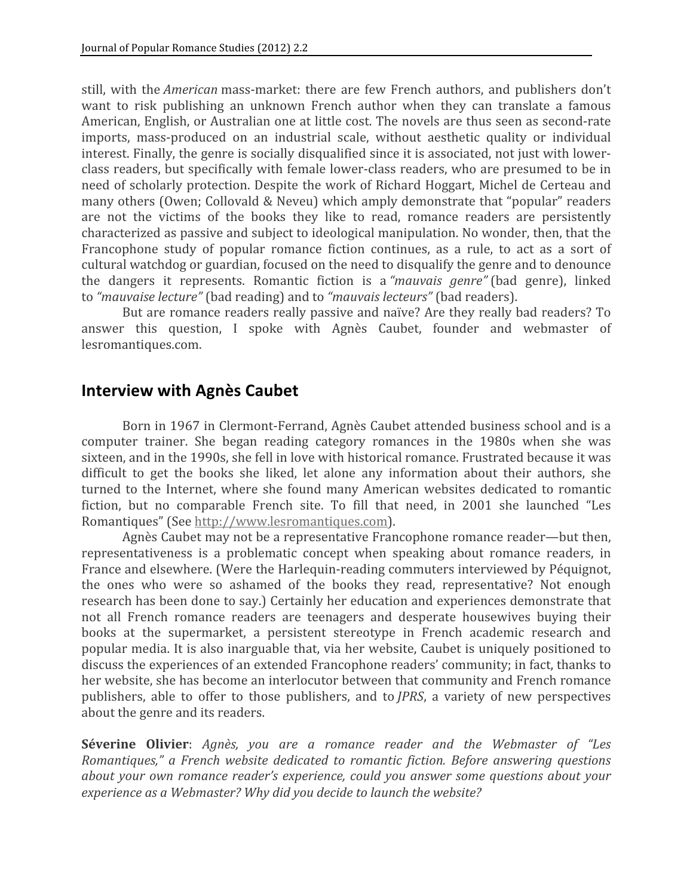still, with the *American* mass-market: there are few French authors, and publishers don't want to risk publishing an unknown French author when they can translate a famous American,
English,
or
Australian
one
at
little
cost.
The
novels
are
thus
seen
as
second‐rate imports, mass-produced on an industrial scale, without aesthetic quality or individual interest. Finally, the genre is socially disqualified since it is associated, not just with lowerclass
readers,
but
specifically
with
female
lower‐class
readers,
who
are
presumed
to
be
in need
of
scholarly
protection.
Despite
 the
work
of
Richard
Hoggart,
Michel
de
Certeau
and many others (Owen; Collovald & Neveu) which amply demonstrate that "popular" readers are not the victims of the books they like to read, romance readers are persistently characterized
as
passive
and
subject
to
ideological
manipulation.
No
wonder,
then,
that
the Francophone study of popular romance fiction continues, as a rule, to act as a sort of cultural
watchdog
or
guardian,
focused
on
the
need
to
disqualify
the
genre
and
to
denounce the
 dangers
 it
 represents.
 Romantic
 fiction
 is
 a *"mauvais
 genre"* (bad
 genre),
 linked to "mauvaise lecture" (bad reading) and to "mauvais lecteurs" (bad readers).

But are romance readers really passive and naïve? Are they really bad readers? To answer this
 question,
 I
 spoke
 with
 Agnès
 Caubet,
 founder
 and
 webmaster
 of lesromantiques.com.

## **Interview
with
Agnès
Caubet**

Born
in
1967
in
Clermont‐Ferrand,
Agnès
Caubet
attended
business
school
and
is
a computer
 trainer.
 She
 began
 reading
 category
 romances
 in
 the
 1980s
 when
 she
 was sixteen, and in the 1990s, she fell in love with historical romance. Frustrated because it was difficult to get the books she liked, let alone any information about their authors, she turned to the Internet, where she found many American websites dedicated to romantic fiction, but no comparable French site. To fill that need, in 2001 she launched "Les Romantiques"
(See http://www.lesromantiques.com).

Agnès Caubet may not be a representative Francophone romance reader—but then, representativeness
 is
 a
 problematic
 concept
 when
 speaking
 about
 romance
 readers,
 in France and elsewhere. (Were the Harlequin-reading commuters interviewed by Péquignot, the
 ones
 who
 were
 so
 ashamed
 of
 the
 books
 they
 read,
 representative?
 Not
 enough research
has
been
done
to
say.)
Certainly
her
education
and
experiences
demonstrate
that not
 all
 French
 romance readers
 are
 teenagers
 and
 desperate
 housewives
 buying
 their books at the supermarket, a persistent stereotype in French academic research and popular
media.
It
is
also
inarguable
that,
via
her
website,
Caubet
is
uniquely
positioned
to discuss the experiences of an extended Francophone readers' community; in fact, thanks to her website, she has become an interlocutor between that community and French romance publishers, able to offer to those publishers, and to *JPRS*, a variety of new perspectives about
the
genre
and
its
readers.

**Séverine Olivier**: Agnès, you are a romance reader and the Webmaster of "Les Romantiques," a French website dedicated to romantic fiction. Before answering questions about your own romance reader's experience, could you answer some questions about your *experience
as
a
Webmaster?
Why
did
you
decide
to
launch
the
website?*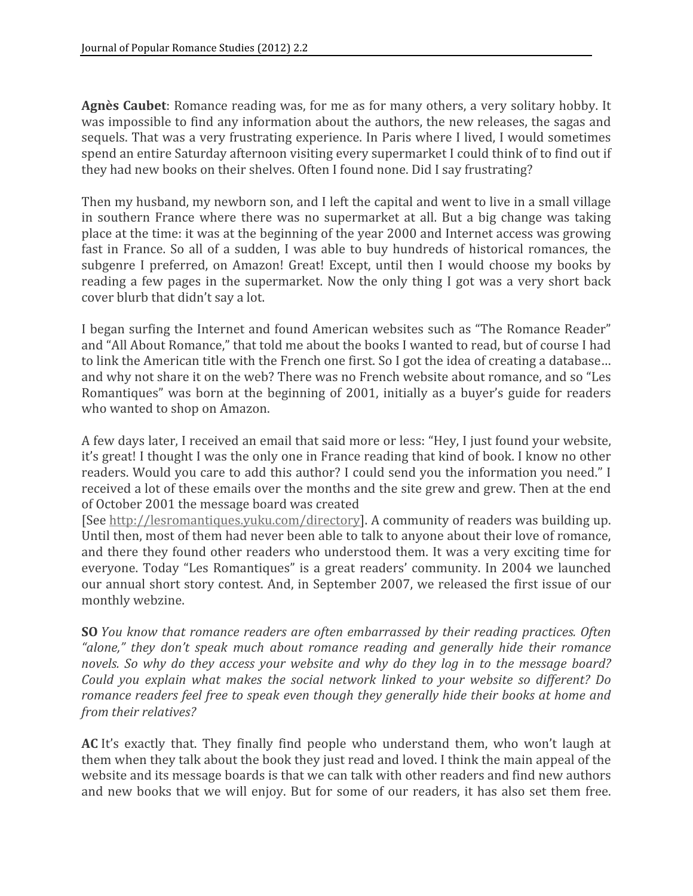Agnès Caubet: Romance reading was, for me as for many others, a very solitary hobby. It was impossible to find any information about the authors, the new releases, the sagas and sequels. That was a very frustrating experience. In Paris where I lived, I would sometimes spend an entire Saturday afternoon visiting every supermarket I could think of to find out if they had new books on their shelves. Often I found none. Did I say frustrating?

Then my husband, my newborn son, and I left the capital and went to live in a small village in southern France where there was no supermarket at all. But a big change was taking place
at
the
time:
it
was
at
the
beginning
of
the
year
2000
and
Internet
access
was
growing fast in France. So all of a sudden, I was able to buy hundreds of historical romances, the subgenre I preferred, on Amazon! Great! Except, until then I would choose my books by reading a few pages in the supermarket. Now the only thing I got was a very short back cover
blurb
that
didn't
say
a
lot.

I began surfing the Internet and found American websites such as "The Romance Reader" and
"All
About
Romance,"
that
told
me
about
the
books
I
wanted
to
read,
but
of
course
I
had to link the American title with the French one first. So I got the idea of creating a database... and why not share it on the web? There was no French website about romance, and so "Les Romantiques" was born at the beginning of 2001, initially as a buyer's guide for readers who wanted to shop on Amazon.

A
few
days
later,
I
received
an
email
that
said
more
or
less:
"Hey,
I
just
found
your
website, it's great! I thought I was the only one in France reading that kind of book. I know no other readers. Would you care to add this author? I could send you the information you need." I received a lot of these emails over the months and the site grew and grew. Then at the end of
October
2001
the
message
board
was
created

[See http://lesromantiques.yuku.com/directory]. A community of readers was building up. Until then, most of them had never been able to talk to anyone about their love of romance, and there they found other readers who understood them. It was a very exciting time for everyone. Today "Les Romantiques" is a great readers' community. In 2004 we launched our annual short story contest. And, in September 2007, we released the first issue of our monthly
webzine.

**SO** *You* know that romance readers are often embarrassed by their reading practices. Often *"alone,"
 they
 don't
 speak
 much
 about
 romance
 reading
 and
 generally
 hide
 their
 romance*  novels. So why do they access your website and why do they log in to the message board? Could you explain what makes the social network linked to your website so different? Do romance readers feel free to speak even though they generally hide their books at home and *from
their
relatives?*

AC It's exactly that. They finally find people who understand them, who won't laugh at them when they talk about the book they just read and loved. I think the main appeal of the website and its message boards is that we can talk with other readers and find new authors and new books that we will enjoy. But for some of our readers, it has also set them free.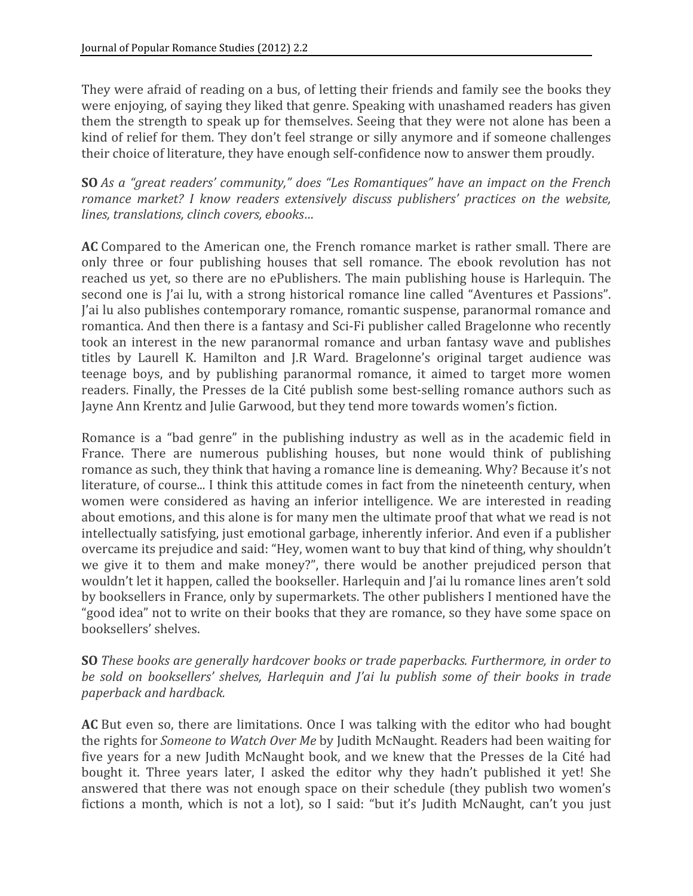They were afraid of reading on a bus, of letting their friends and family see the books they were enjoying, of saying they liked that genre. Speaking with unashamed readers has given them the strength to speak up for themselves. Seeing that they were not alone has been a kind of relief for them. They don't feel strange or silly anymore and if someone challenges their choice of literature, they have enough self-confidence now to answer them proudly.

**SO** *As a "great readers' community," does "Les Romantiques" have an impact on the French* romance market? I know readers extensively discuss publishers' practices on the website. *lines,
translations,
clinch
covers,
ebooks…*

AC Compared to the American one, the French romance market is rather small. There are only three or four publishing houses that sell romance. The ebook revolution has not reached us yet, so there are no ePublishers. The main publishing house is Harlequin. The second one is J'ai lu, with a strong historical romance line called "Aventures et Passions". l'ai lu also publishes contemporary romance, romantic suspense, paranormal romance and romantica. And then there is a fantasy and Sci-Fi publisher called Bragelonne who recently took an interest in the new paranormal romance and urban fantasy wave and publishes titles by Laurell K. Hamilton and J.R Ward. Bragelonne's original target audience was teenage boys, and by publishing paranormal romance, it aimed to target more women readers. Finally, the Presses de la Cité publish some best-selling romance authors such as Jayne
Ann
Krentz
and
Julie
Garwood,
but
they
tend
more
towards
women's
fiction.

Romance is a "bad genre" in the publishing industry as well as in the academic field in France. There are numerous publishing houses, but none would think of publishing romance
as
such,
they
think
that
having
a
romance
line
is
demeaning.
Why?
Because
it's
not literature, of course... I think this attitude comes in fact from the nineteenth century, when women were considered as having an inferior intelligence. We are interested in reading about emotions, and this alone is for many men the ultimate proof that what we read is not intellectually satisfying, just emotional garbage, inherently inferior. And even if a publisher overcame
its
prejudice
and
said:
"Hey,
women
want
to
buy
that
kind
of
thing,
why
shouldn't we give it to them and make money?", there would be another prejudiced person that wouldn't let it happen, called the bookseller. Harlequin and I'ai lu romance lines aren't sold by
booksellers
in
France,
only
by
supermarkets.
The
other
publishers
I
mentioned
have
the "good idea" not to write on their books that they are romance, so they have some space on booksellers'
shelves.

**SO** *These books are generally hardcover books or trade paperbacks. Furthermore, in order to* be sold on booksellers' shelves, Harlequin and *l'ai lu publish some of their books in trade paperback
and
hardback.*

AC But even so, there are limitations. Once I was talking with the editor who had bought the rights for *Someone to Watch Over Me* by Judith McNaught. Readers had been waiting for five years for a new Judith McNaught book, and we knew that the Presses de la Cité had bought it. Three years later, I asked the editor why they hadn't published it yet! She answered
 that
 there
was
not
enough
space
 on
 their
schedule
 (they
publish
 two
women's fictions a month, which is not a lot), so I said: "but it's Judith McNaught, can't you just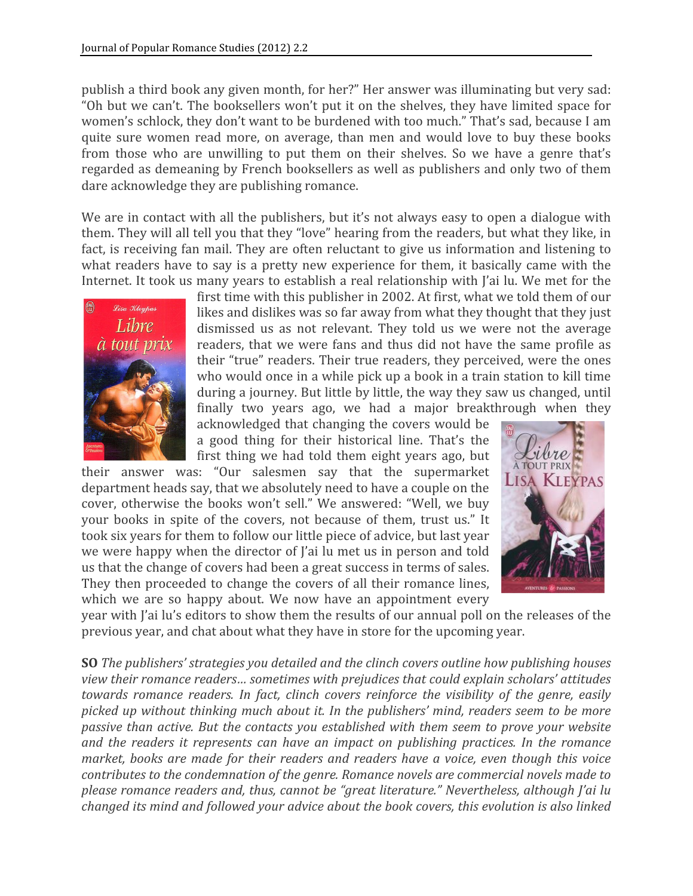publish a third book any given month, for her?" Her answer was illuminating but very sad: "Oh but we can't. The booksellers won't put it on the shelves, they have limited space for women's schlock, they don't want to be burdened with too much." That's sad, because I am quite
 sure
 women
 read
 more,
 on
 average,
 than
 men
 and
 would
 love
 to
 buy
 these
 books from those who are unwilling to put them on their shelves. So we have a genre that's regarded
as
demeaning
by
French
booksellers
as
well
as
publishers
and
only
two
of
them dare
acknowledge
they
are
publishing
romance.

We are in contact with all the publishers, but it's not always easy to open a dialogue with them. They will all tell you that they "love" hearing from the readers, but what they like, in fact, is receiving fan mail. They are often reluctant to give us information and listening to what readers have to say is a pretty new experience for them, it basically came with the Internet. It took us many vears to establish a real relationship with I'ai lu. We met for the



first time with this publisher in 2002. At first, what we told them of our likes and dislikes was so far away from what they thought that they just dismissed
 us
 as
 not
 relevant.
 They
 told
 us
 we
 were
 not
 the
 average readers,
that
we
were
 fans
and
 thus
 did
 not
 have
 the
 same
 profile
as their
"true"
readers.
Their
true
readers,
they
perceived,
were
the
ones who would once in a while pick up a book in a train station to kill time during a journey. But little by little, the way they saw us changed, until finally two years ago, we had a major breakthrough when they

acknowledged
 that
changing
 the
covers
would
be a good thing for their historical line. That's the first thing we had told them eight years ago, but

their
 answer
 was:
 "Our salesmen
 say
 that
 the
 supermarket department
heads
say,
that
we
absolutely
need
to
have
a
couple
on
the cover, otherwise the books won't sell." We answered: "Well, we buy your books in spite of the covers, not because of them, trust us." It took
six
years
for
them
to
follow
our
little
piece
of
advice,
but
last
year we were happy when the director of I'ai lu met us in person and told us
that
the
change
of
covers
had
been
a
great
success
in
terms
of
sales. They
 then
proceeded
 to
change
 the
covers
of
all
 their
romance
lines, which we are so happy about. We now have an appointment every



year with J'ai lu's editors to show them the results of our annual poll on the releases of the previous
year,
and
chat
about
what
they
have
in
store
for
the
upcoming
year.

**SO** *The
publishers'
strategies
you
detailed
and
the
clinch
covers
outline
how
publishing
houses*  view their romance readers... sometimes with prejudices that could explain scholars' attitudes *towards
 romance
 readers.
 In
 fact,
 clinch
 covers
 reinforce
 the
 visibility of
 the
 genre,
 easily*  picked up without thinking much about it. In the publishers' mind, readers seem to be more passive than active. But the contacts you established with them seem to prove your website and the readers it represents can have an impact on publishing practices. In the romance market, books are made for their readers and readers have a voice, even though this voice contributes to the condemnation of the genre. Romance novels are commercial novels made to please romance readers and, thus, cannot be "great literature." Nevertheless, although *l'ai lu changed
its
mind
and
followed
your
advice
about
the
book
covers,
this
evolution
is
also
linked*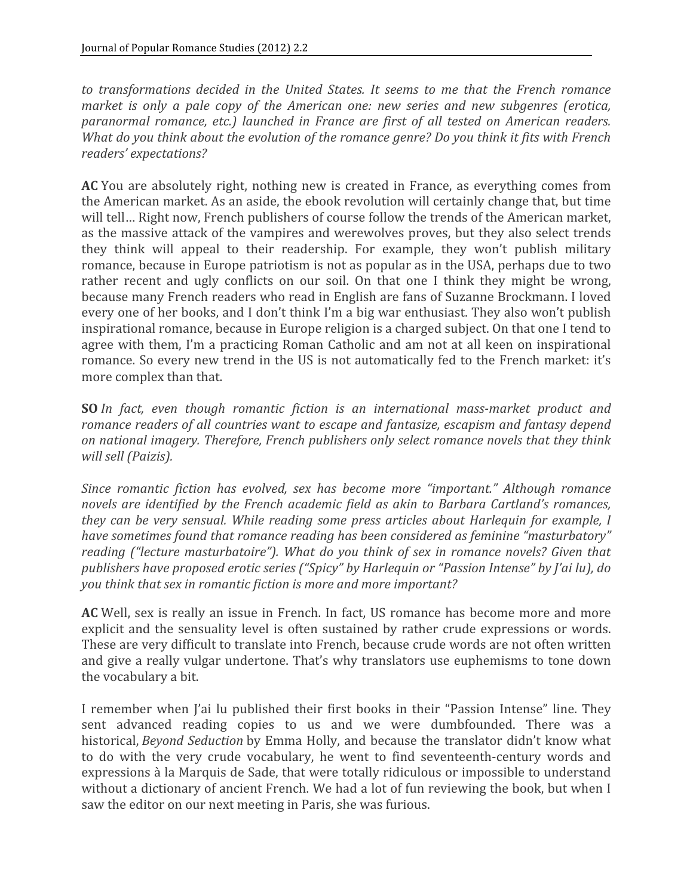to transformations decided in the United States. It seems to me that the French romance market is only a pale copy of the American one: new series and new subgenres (erotica, paranormal romance, etc.) launched in France are first of all tested on American readers. What do you think about the evolution of the romance genre? Do you think it fits with French *readers'
expectations?*

AC You are absolutely right, nothing new is created in France, as everything comes from the
American
market.
As
an
aside,
the
ebook
revolution
will
certainly
change
that,
but
time will tell... Right now, French publishers of course follow the trends of the American market, as the massive attack of the vampires and werewolves proves, but they also select trends they think will appeal to their readership. For example, they won't publish military romance,
because
in
Europe
patriotism
is
not
as
popular
as
in
the
USA,
perhaps
due
to
two rather recent and ugly conflicts on our soil. On that one I think they might be wrong, because
many
French
readers
who
read
in
English
are
fans
of
Suzanne
Brockmann.
I
loved every
one
of
her
books,
and
I
don't
think
I'm
a
big
war
enthusiast.
They
also
won't
publish inspirational
romance,
because
in
Europe
religion
is
a
charged
subject.
On
that
one
I
tend
to agree
with
 them,
 I'm
a
practicing
Roman
Catholic
and
am
not
at
all
keen
on
inspirational romance. So every new trend in the US is not automatically fed to the French market: it's more
complex
than
that.

**SO** *In* fact, even though romantic fiction is an international mass-market product and romance readers of all countries want to escape and fantasize, escapism and fantasy depend on national imagery. Therefore, French publishers only select romance novels that they think *will
sell
(Paizis).*

*Since
 romantic
 fiction
 has
 evolved,
 sex
 has
 become
 more
 "important."
 Although romance*  novels are identified by the French academic field as akin to Barbara Cartland's romances, they can be very sensual. While reading some press articles about Harlequin for example, I have sometimes found that romance reading has been considered as feminine "masturbatory" reading ("lecture masturbatoire"). What do you think of sex in romance novels? Given that *publishers
have
proposed
erotic
series
("Spicy"
by
Harlequin
or
"Passion
Intense"
by
J'ai
lu),
do you
think
that
sex
in
romantic
fiction
is
more
and
more
important?*

AC Well, sex is really an issue in French. In fact, US romance has become more and more explicit and the sensuality level is often sustained by rather crude expressions or words. These are very difficult to translate into French, because crude words are not often written and give a really vulgar undertone. That's why translators use euphemisms to tone down the
vocabulary
a
bit.

I remember when J'ai lu published their first books in their "Passion Intense" line. They sent advanced reading copies to us and we were dumbfounded. There was a historical, *Beyond Seduction* by Emma Holly, and because the translator didn't know what to do with the very crude vocabulary, he went to find seventeenth-century words and expressions
à
la
Marquis
de
Sade,
that
were
totally
ridiculous
or
impossible
to
understand without a dictionary of ancient French. We had a lot of fun reviewing the book, but when I saw
the
editor
on
our
next
meeting
in
Paris,
she
was
furious.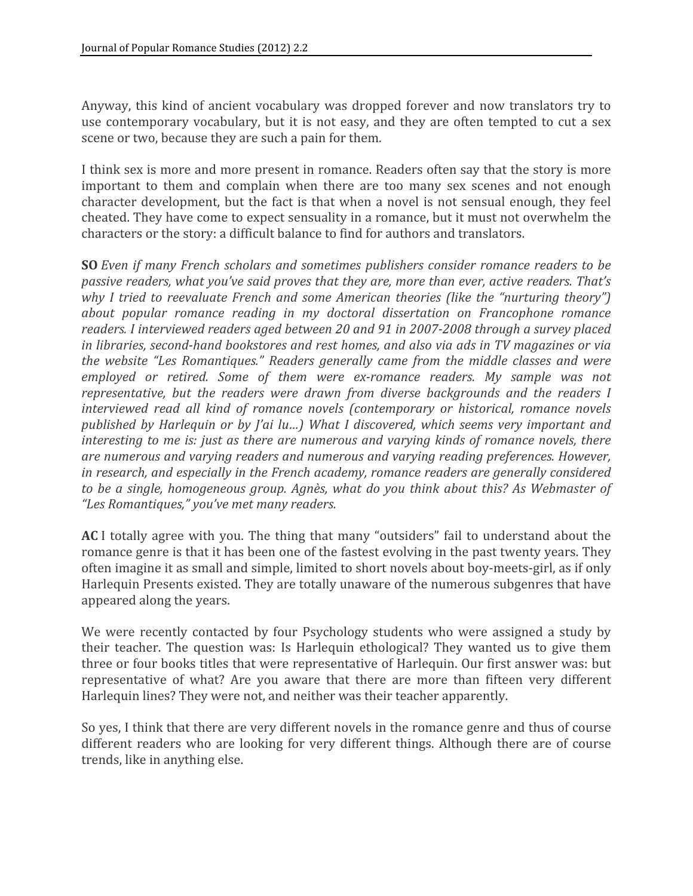Anyway, this kind of ancient vocabulary was dropped forever and now translators try to use contemporary vocabulary, but it is not easy, and they are often tempted to cut a sex scene
or
two,
because
they
are
such
a
pain
for
them.

I think sex is more and more present in romance. Readers often say that the story is more important to them and complain when there are too many sex scenes and not enough character
development,
but
 the
 fact
is
 that
when
a
novel
is
not
 sensual
enough,
 they
 feel cheated.
They
have
come
to
expect
sensuality
in
a
romance,
but
it
must
not
overwhelm
the characters
or
the
story:
a
difficult
balance
to
find
for
authors
and
translators.

**SO** *Even if many French scholars and sometimes publishers consider romance readers to be* passive readers, what you've said proves that they are, more than ever, active readers. That's why I tried to reevaluate French and some American theories (like the "nurturing theory") about popular romance reading in my doctoral dissertation on Francophone romance readers. I interviewed readers aged between 20 and 91 in 2007-2008 through a survey placed in libraries, second-hand bookstores and rest homes, and also via ads in TV magazines or via the website "Les Romantiques." Readers generally came from the middle classes and were employed or retired. Some of them were ex-romance readers. My sample was not representative, but the readers were drawn from diverse backgrounds and the readers I interviewed read all kind of romance novels (contemporary or historical, romance novels published by Harlequin or by *J'ai lu...*) What I discovered, which seems very important and interesting to me is: just as there are numerous and varying kinds of romance novels, there are numerous and varying readers and numerous and varying reading preferences. However, in research, and especially in the French academy, romance readers are generally considered to be a single, homogeneous group. Agnès, what do you think about this? As Webmaster of *"Les
Romantiques,"
you've
met
many
readers.*

ACI totally agree with you. The thing that many "outsiders" fail to understand about the romance genre is that it has been one of the fastest evolving in the past twenty years. They often
imagine
it
as
small
and
simple,
limited
to
short
novels
about
boy‐meets‐girl,
as
if
only Harlequin Presents existed. They are totally unaware of the numerous subgenres that have appeared
along
the
years.

We were recently contacted by four Psychology students who were assigned a study by their teacher. The question was: Is Harlequin ethological? They wanted us to give them three
or
four
books
titles
that
were
representative
of
Harlequin.
Our
first
answer
was:
but representative of what? Are you aware that there are more than fifteen very different Harlequin
lines?
They
were
not,
and
neither
was
their
teacher
apparently.

So yes, I think that there are very different novels in the romance genre and thus of course different readers who are looking for very different things. Although there are of course trends,
like
in
anything
else.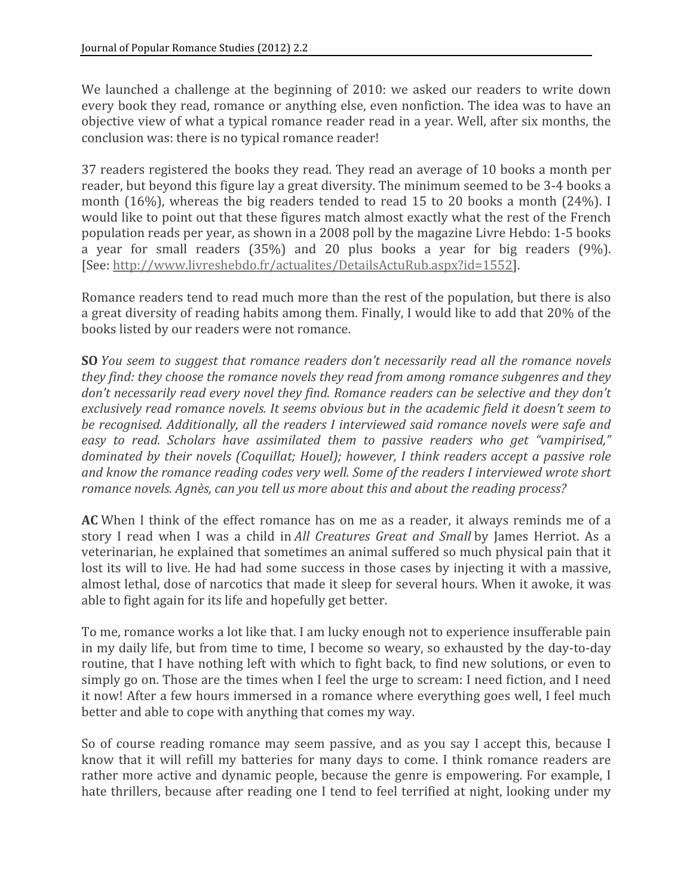We launched a challenge at the beginning of 2010: we asked our readers to write down every book they read, romance or anything else, even nonfiction. The idea was to have an objective view of what a typical romance reader read in a year. Well, after six months, the conclusion
was:
there
is
no
typical
romance
reader!

37 readers registered the books they read. They read an average of 10 books a month per reader, but beyond this figure lay a great diversity. The minimum seemed to be 3-4 books a month (16%), whereas the big readers tended to read 15 to 20 books a month (24%). I would like to point out that these figures match almost exactly what the rest of the French population reads per year, as shown in a 2008 poll by the magazine Livre Hebdo: 1-5 books a year for small readers (35%) and 20 plus books a year for big readers (9%). [See: http://www.livreshebdo.fr/actualites/DetailsActuRub.aspx?id=1552].

Romance readers tend to read much more than the rest of the population, but there is also a great diversity of reading habits among them. Finally, I would like to add that 20% of the books
listed
by
our
readers
were
not
romance.

**SO** *You* seem to suggest that romance readers don't necessarily read all the romance novels they find: they choose the romance novels they read from among romance subgenres and they don't necessarily read every novel they find. Romance readers can be selective and they don't exclusively read romance novels. It seems obvious but in the academic field it doesn't seem to be recognised. Additionally, all the readers I interviewed said romance novels were safe and easy to read. Scholars have assimilated them to passive readers who get "vampirised," dominated by their novels (Coquillat; Houel); however, I think readers accept a passive role and know the romance reading codes very well. Some of the readers I interviewed wrote short *romance
novels.
Agnès,
can
you
tell
us
more
about
this
and
about
the
reading
process?*

AC When I think of the effect romance has on me as a reader, it always reminds me of a story I read when I was a child in *All Creatures Great and Small* by James Herriot. As a veterinarian,
he
explained
that
sometimes
an
animal
suffered
so
much
physical
pain
that
it lost its will to live. He had had some success in those cases by injecting it with a massive, almost
lethal,
dose
of
narcotics
that
made
it
sleep
for
several
hours.
When
it
awoke,
it
was able
to
fight
again
for
its
life
and
hopefully
get
better.

To me, romance works a lot like that. I am lucky enough not to experience insufferable pain in
my
daily
life,
but
from
time
to
time,
I
become
so
weary,
so
exhausted
by
the
day‐to‐day routine, that I have nothing left with which to fight back, to find new solutions, or even to simply go on. Those are the times when I feel the urge to scream: I need fiction, and I need it now! After a few hours immersed in a romance where everything goes well, I feel much better
and
able
to
cope
with
anything
that
comes
my
way.

So of course reading romance may seem passive, and as you say I accept this, because I know that it will refill my batteries for many days to come. I think romance readers are rather more active and dynamic people, because the genre is empowering. For example, I hate thrillers, because after reading one I tend to feel terrified at night, looking under my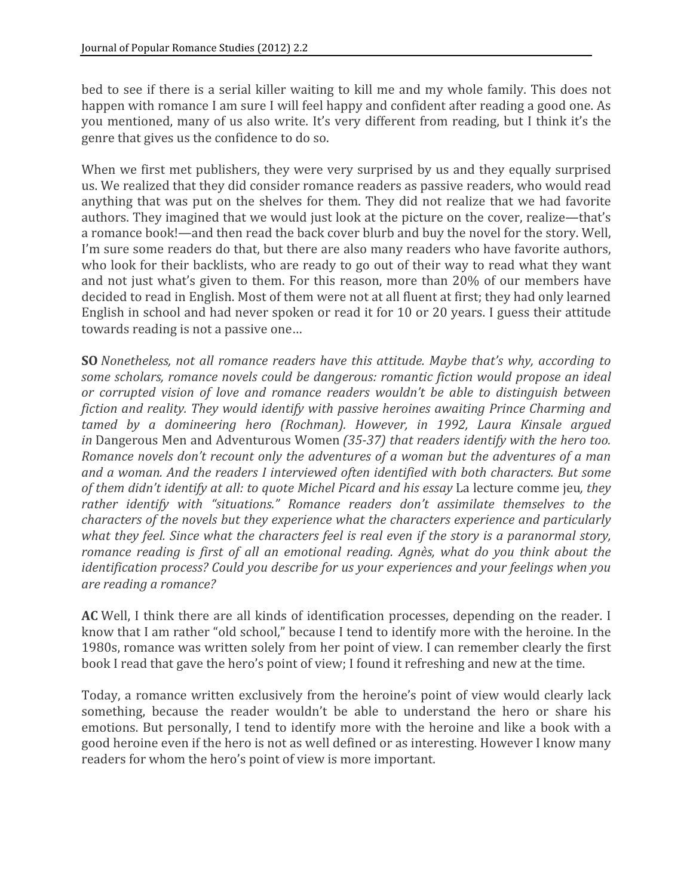bed to see if there is a serial killer waiting to kill me and my whole family. This does not happen with romance I am sure I will feel happy and confident after reading a good one. As you mentioned, many of us also write. It's very different from reading, but I think it's the genre
that
gives
us
the
confidence
to
do
so.

When we first met publishers, they were very surprised by us and they equally surprised us.
We
realized
that
they
did
consider
romance
readers
as
passive
readers,
who
would
read anything that was put on the shelves for them. They did not realize that we had favorite authors. They imagined that we would just look at the picture on the cover, realize—that's a romance book!—and then read the back cover blurb and buy the novel for the story. Well, I'm sure some readers do that, but there are also many readers who have favorite authors, who look for their backlists, who are ready to go out of their way to read what they want and not just what's given to them. For this reason, more than 20% of our members have decided
to
read
in
English.
Most
of
them
were
not
at
all
fluent
at
first;
they
had
only
learned English in school and had never spoken or read it for 10 or 20 years. I guess their attitude towards
reading
is
not
a
passive
one…

**SO** *Nonetheless, not all romance readers have this attitude. Maybe that's why, according to* some scholars, romance novels could be dangerous: romantic fiction would propose an ideal or corrupted vision of love and romance readers wouldn't be able to distinguish between fiction and reality. They would identify with passive heroines awaiting Prince Charming and tamed by a domineering hero (Rochman). However, in 1992, Laura Kinsale argued in Dangerous Men and Adventurous Women *(35-37)* that readers identify with the hero too. Romance novels don't recount only the adventures of a woman but the adventures of a man and a woman. And the readers I interviewed often identified with both characters. But some of them didn't identify at all: to quote Michel Picard and his essay La lecture comme jeu, they rather identify with "situations." Romance readers don't assimilate themselves to the *characters
of
the
novels
but
they
experience
what
the
characters
experience
and
particularly*  what they feel. Since what the characters feel is real even if the story is a paranormal story, romance reading is first of all an emotional reading. Agnès, what do you think about the identification process? Could you describe for us your experiences and your feelings when you *are
reading
a
romance?*

AC Well, I think there are all kinds of identification processes, depending on the reader. I know that I am rather "old school," because I tend to identify more with the heroine. In the 1980s,
romance
was
written
solely
from
her
point
of
view.
I
can
remember
clearly
the
first book I read that gave the hero's point of view; I found it refreshing and new at the time.

Today,
a
romance
written
exclusively
 from
 the
heroine's
point
of
view
would
clearly
lack something, because the reader wouldn't be able to understand the hero or share his emotions. But personally, I tend to identify more with the heroine and like a book with a good
heroine
even
if
the
hero
is
not
as
well
defined
or
as
interesting.
However
I
know
many readers
for
whom
the
hero's
point
of
view
is
more
important.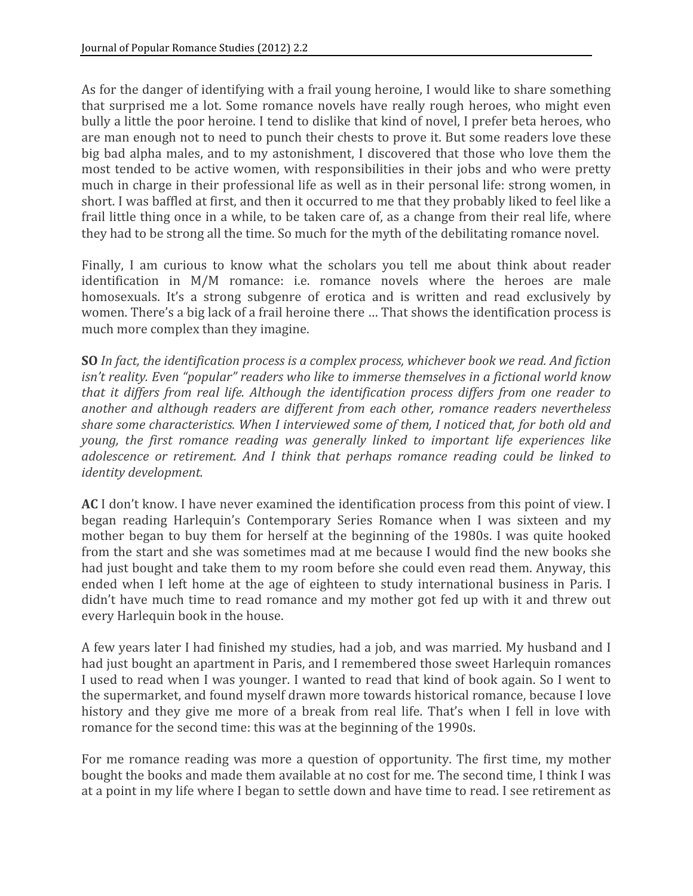As for the danger of identifying with a frail young heroine, I would like to share something that
 surprised
me
a
lot.
Some
 romance
novels
 have
 really
 rough
 heroes,
who
might
even bully a little the poor heroine. I tend to dislike that kind of novel, I prefer beta heroes, who are man enough not to need to punch their chests to prove it. But some readers love these big bad alpha males, and to my astonishment, I discovered that those who love them the most
 tended
 to
be
active
women,
with
 responsibilities
in
 their
jobs
and
who
were
pretty much in charge in their professional life as well as in their personal life: strong women, in short. I was baffled at first, and then it occurred to me that they probably liked to feel like a frail little thing once in a while, to be taken care of, as a change from their real life, where they had to be strong all the time. So much for the myth of the debilitating romance novel.

Finally, I am curious to know what the scholars you tell me about think about reader identification in M/M romance: i.e. romance novels where the heroes are male homosexuals. It's a strong subgenre of erotica and is written and read exclusively by women. There's a big lack of a frail heroine there ... That shows the identification process is much
more
complex
than
they
imagine.

**SO** In fact, the identification process is a complex process, whichever book we read. And fiction isn't reality. Even "popular" readers who like to immerse themselves in a fictional world know that it differs from real life. Although the identification process differs from one reader to *another
 and
 although
 readers
 are
 different
from
 each
 other,
 romance
 readers
 nevertheless*  share some characteristics. When I interviewed some of them, I noticed that, for both old and young, the first romance reading was generally linked to important life experiences like adolescence or retirement. And I think that perhaps romance reading could be linked to *identity
development.*

AC I don't know. I have never examined the identification process from this point of view. I began
 reading
 Harlequin's
 Contemporary
 Series
 Romance
 when
 I
 was
 sixteen
 and
 my mother began to buy them for herself at the beginning of the 1980s. I was quite hooked from
the
start
and
she
was
sometimes
mad
at
me
because
I
would
find
the
new
books
she had just bought and take them to my room before she could even read them. Anyway, this ended when I left home at the age of eighteen to study international business in Paris. I didn't have much time to read romance and my mother got fed up with it and threw out every
Harlequin
book
in
the
house.

A few years later I had finished my studies, had a job, and was married. My husband and I had just bought an apartment in Paris, and I remembered those sweet Harlequin romances I used to read when I was younger. I wanted to read that kind of book again. So I went to the
supermarket,
and
found
myself
drawn
more
towards
historical
romance,
because
I
love history and they give me more of a break from real life. That's when I fell in love with romance
for
the
second
time:
this
was
at
the
beginning
of
the
1990s.

For me romance reading was more a question of opportunity. The first time, my mother bought the books and made them available at no cost for me. The second time, I think I was at a point in my life where I began to settle down and have time to read. I see retirement as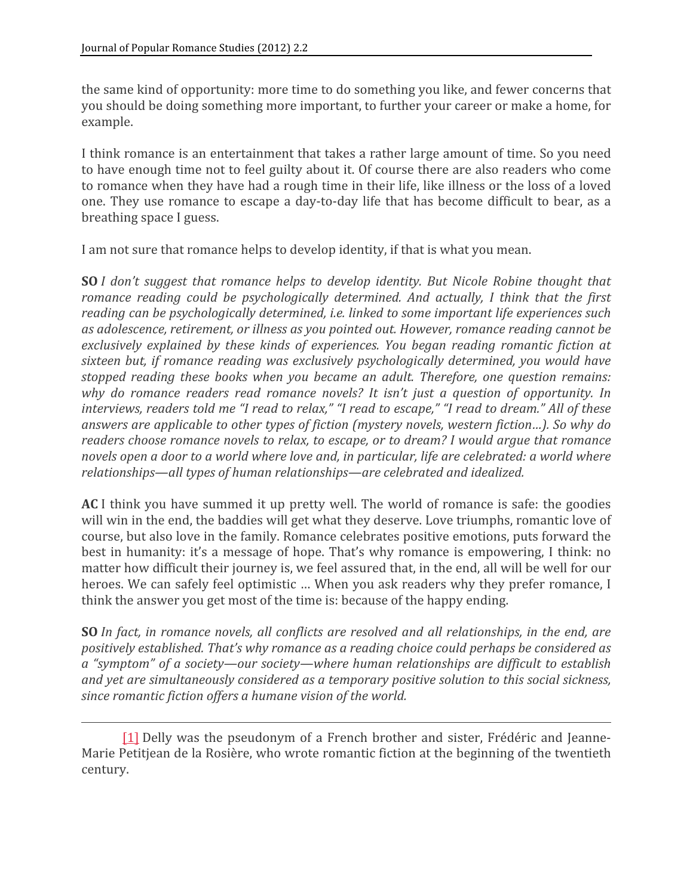the
same
kind
of
opportunity:
more
time
to
do
something
you
like,
and
fewer
concerns
that you
should
be
doing
something
more
important,
to
further
your
career
or
make
a
home,
for example.

I think romance is an entertainment that takes a rather large amount of time. So you need to have enough time not to feel guilty about it. Of course there are also readers who come to romance when they have had a rough time in their life, like illness or the loss of a loved one. They use romance to escape a day-to-day life that has become difficult to bear, as a breathing
space
I
guess.

I am not sure that romance helps to develop identity, if that is what you mean.

**SO** *I* don't suggest that romance helps to develop identity. But Nicole Robine thought that romance reading could be psychologically determined. And actually, I think that the first reading can be psychologically determined, *i.e.* linked to some important life experiences such as adolescence, retirement, or illness as you pointed out. However, romance reading cannot be exclusively explained by these kinds of experiences. You began reading romantic fiction at sixteen but, if romance reading was exclusively psychologically determined, you would have stopped reading these books when you became an adult. Therefore, one question remains: why do romance readers read romance novels? It isn't just a question of opportunity. In interviews, readers told me "I read to relax," "I read to escape," "I read to dream." All of these answers are applicable to other types of fiction (mystery novels, western fiction...). So why do readers choose romance novels to relax, to escape, or to dream? I would argue that romance novels open a door to a world where love and, in particular, life are celebrated: a world where *relationships—all
types
of
human
relationships—are
celebrated
and
idealized.*

AC<sub>I</sub> think you have summed it up pretty well. The world of romance is safe: the goodies will win in the end, the baddies will get what they deserve. Love triumphs, romantic love of course,
but
also
love
in
the
family.
Romance
celebrates
positive
emotions,
puts
forward
the best in humanity: it's a message of hope. That's why romance is empowering, I think: no matter how difficult their journey is, we feel assured that, in the end, all will be well for our heroes. We can safely feel optimistic ... When you ask readers why they prefer romance, I think
the
answer
you
get
most
of
the
time
is:
because
of
the
happy
ending.

**SO** *In fact, in romance novels, all conflicts are resolved and all relationships, in the end, are positively
established.
That's
why
romance
as
a
reading
choice
could
perhaps
be
considered
as*  a "symptom" of a society—our society—where human relationships are difficult to establish and yet are simultaneously considered as a temporary positive solution to this social sickness, *since
romantic
fiction
offers
a
humane
vision
of
the
world.*

<sup>[1]</sup> Delly was the pseudonym of a French brother and sister, Frédéric and Jeanne-Marie Petitjean de la Rosière, who wrote romantic fiction at the beginning of the twentieth century.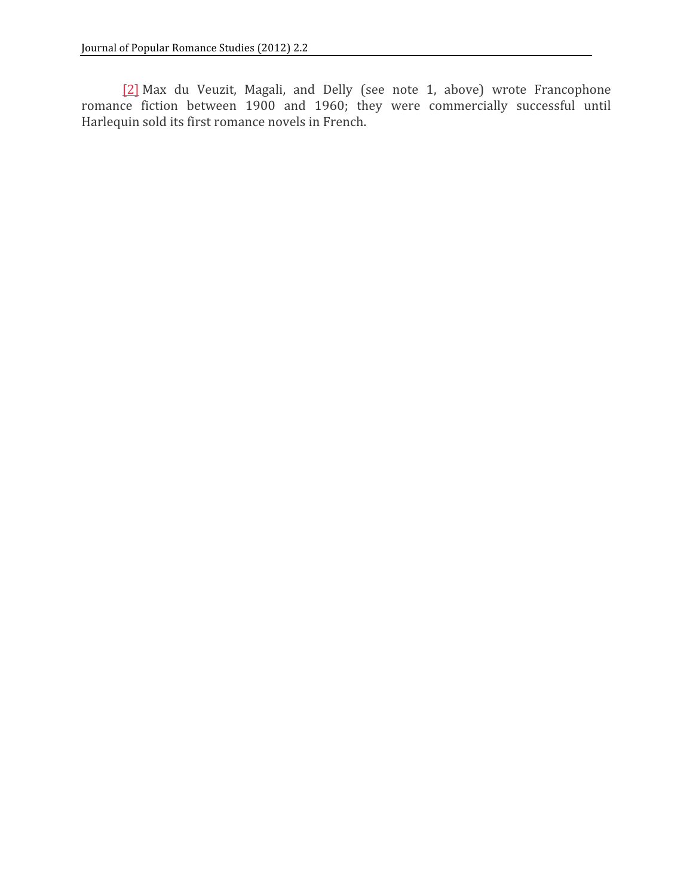[2] Max du Veuzit, Magali, and Delly (see note 1, above) wrote Francophone romance fiction between 1900 and 1960; they were commercially successful until Harlequin
sold
its
first
romance
novels
in
French.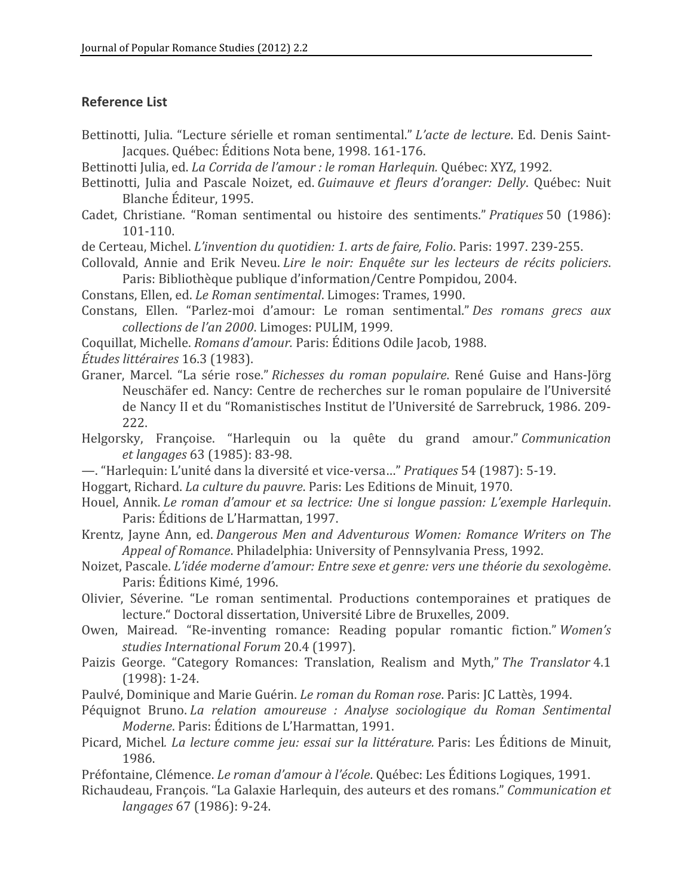## **Reference
List**

Bettinotti, Julia. "Lecture sérielle et roman sentimental." *L'acte de lecture*. Ed. Denis Saint-Jacques.
Québec:
Éditions
Nota
bene,
1998.
161‐176.

Bettinotti Julia, ed. *La Corrida de l'amour : le roman Harlequin*. Québec: XYZ, 1992.

- Bettinotti, Julia and Pascale Noizet, ed. *Guimauve et fleurs d'oranger: Delly*. Québec: Nuit Blanche
Éditeur,
1995.
- Cadet,
 Christiane.
 "Roman
 sentimental
 ou
 histoire
 des
 sentiments." *Pratiques* 50
 (1986): 101‐110.

de
Certeau,
Michel. *L'invention
du
quotidien:
1.
arts
de
faire,
Folio*.
Paris:
1997.
239‐255.

Collovald, Annie and Erik Neveu. *Lire le noir: Enquête sur les lecteurs de récits policiers*. Paris:
Bibliothèque
publique
d'information/Centre
Pompidou,
2004.

Constans,
Ellen,
ed. *Le
Roman
sentimental*.
Limoges:
Trames,
1990.

- Constans, Ellen. "Parlez-moi d'amour: Le roman sentimental." Des romans grecs aux *collections
de
l'an
2000*.
Limoges:
PULIM,
1999.
- Coquillat,
Michelle. *Romans
d'amour.* Paris:
Éditions
Odile
Jacob,
1988.

*Études
littéraires* 16.3
(1983).

- Graner, Marcel. "La série rose." *Richesses du roman populaire*. René Guise and Hans-Jörg Neuschäfer ed. Nancy: Centre de recherches sur le roman populaire de l'Université de Nancy II et du "Romanistisches Institut de l'Université de Sarrebruck, 1986. 209-222.
- Helgorsky, Françoise. "Harlequin ou la quête du grand amour." Communication *et langages* 63
(1985):
83‐98.
- —.
"Harlequin:
L'unité
dans
la
diversité
et
vice‐versa…" *Pratiques* 54
(1987):
5‐19.

Hoggart,
Richard. *La
culture
du
pauvre*.
Paris:
Les
Editions
de
Minuit,
1970.

- Houel, Annik. Le roman d'amour et sa lectrice: Une si longue passion: L'exemple Harlequin. Paris:
Éditions
de
L'Harmattan,
1997.
- Krentz, Jayne Ann, ed. *Dangerous Men and Adventurous Women: Romance Writers on The Appeal
of
Romance*.
Philadelphia:
University
of
Pennsylvania
Press,
1992.
- Noizet,
Pascale. *L'idée
moderne
d'amour:
Entre
sexe
et
genre:
vers
une
théorie
du
sexologème*. Paris:
Éditions
Kimé,
1996.
- Olivier, Séverine. "Le roman sentimental. Productions contemporaines et pratiques de lecture."
Doctoral
dissertation,
Université
Libre
de
Bruxelles,
2009.
- Owen, Mairead. "Re-inventing romance: Reading popular romantic fiction." Women's *studies
International
Forum* 20.4
(1997).
- Paizis George. "Category Romances: Translation, Realism and Myth," The Translator 4.1 (1998):
1‐24.
- Paulvé, Dominique and Marie Guérin. *Le roman du Roman rose*. Paris: JC Lattès, 1994.
- Péquignot Bruno. La relation amoureuse : Analyse sociologique du Roman Sentimental *Moderne*.
Paris:
Éditions
de
L'Harmattan,
1991.
- Picard, Michel. *La lecture comme jeu: essai sur la littérature*. Paris: Les Éditions de Minuit, 1986.
- Préfontaine, Clémence. *Le roman d'amour à l'école*. Québec: Les Éditions Logiques, 1991.
- Richaudeau,
François.
"La
Galaxie
Harlequin,
des
auteurs
et
des
romans." *Communication
et langages* 67
(1986):
9‐24.